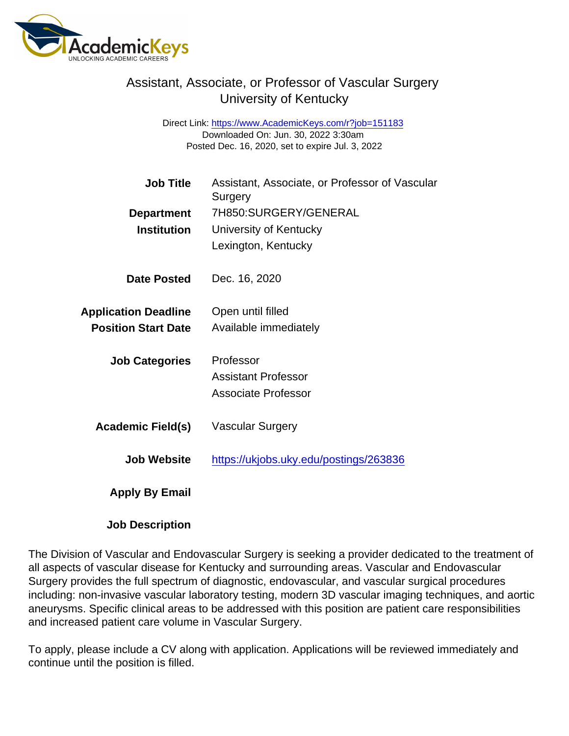## Assistant, Associate, or Professor of Vascular Surgery University of Kentucky

Direct Link: <https://www.AcademicKeys.com/r?job=151183> Downloaded On: Jun. 30, 2022 3:30am Posted Dec. 16, 2020, set to expire Jul. 3, 2022

| <b>Job Title</b>            | Assistant, Associate, or Professor of Vascular<br>Surgery |
|-----------------------------|-----------------------------------------------------------|
| Department                  | 7H850: SURGERY/GENERAL                                    |
| Institution                 | University of Kentucky                                    |
|                             | Lexington, Kentucky                                       |
| Date Posted                 | Dec. 16, 2020                                             |
| <b>Application Deadline</b> | Open until filled                                         |
| <b>Position Start Date</b>  | Available immediately                                     |
| <b>Job Categories</b>       | Professor                                                 |
|                             | <b>Assistant Professor</b>                                |
|                             | <b>Associate Professor</b>                                |
| Academic Field(s)           | <b>Vascular Surgery</b>                                   |
| <b>Job Website</b>          | https://ukjobs.uky.edu/postings/263836                    |
| Apply By Email              |                                                           |

Job Description

The Division of Vascular and Endovascular Surgery is seeking a provider dedicated to the treatment of all aspects of vascular disease for Kentucky and surrounding areas. Vascular and Endovascular Surgery provides the full spectrum of diagnostic, endovascular, and vascular surgical procedures including: non-invasive vascular laboratory testing, modern 3D vascular imaging techniques, and aortic aneurysms. Specific clinical areas to be addressed with this position are patient care responsibilities and increased patient care volume in Vascular Surgery.

To apply, please include a CV along with application. Applications will be reviewed immediately and continue until the position is filled.